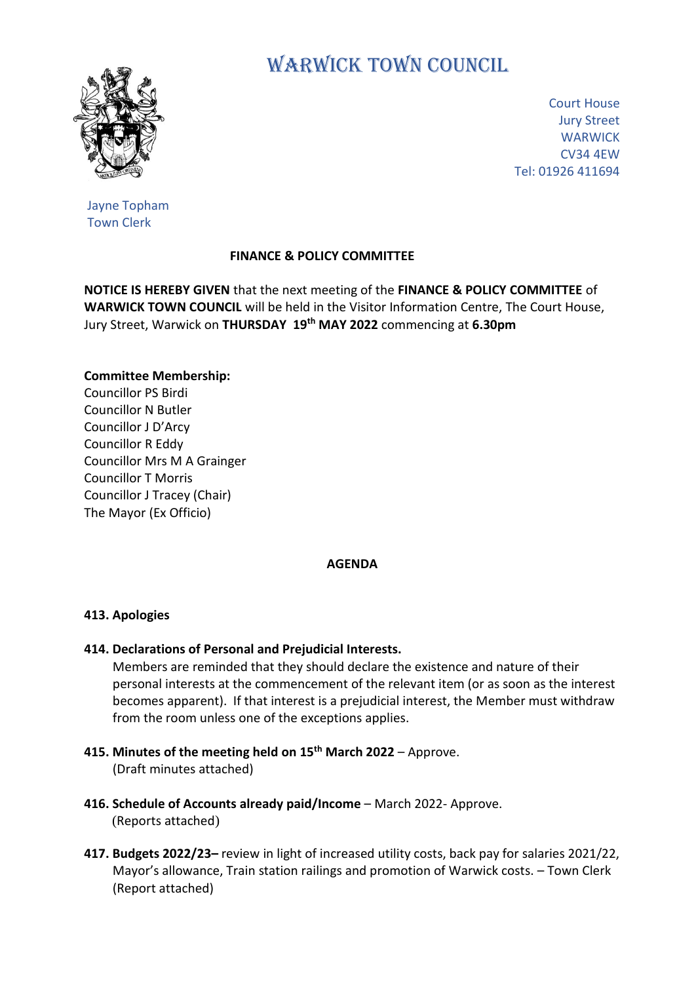

# WARWICK TOWN COUNCIL

Court House Jury Street **WARWICK** CV34 4EW Tel: 01926 411694

Jayne Topham Town Clerk

## **FINANCE & POLICY COMMITTEE**

**NOTICE IS HEREBY GIVEN** that the next meeting of the **FINANCE & POLICY COMMITTEE** of **WARWICK TOWN COUNCIL** will be held in the Visitor Information Centre, The Court House, Jury Street, Warwick on **THURSDAY 19 th MAY 2022** commencing at **6.30pm**

#### **Committee Membership:**

Councillor PS Birdi Councillor N Butler Councillor J D'Arcy Councillor R Eddy Councillor Mrs M A Grainger Councillor T Morris Councillor J Tracey (Chair) The Mayor (Ex Officio)

#### **AGENDA**

#### **413. Apologies**

### **414. Declarations of Personal and Prejudicial Interests.**

 Members are reminded that they should declare the existence and nature of their personal interests at the commencement of the relevant item (or as soon as the interest becomes apparent). If that interest is a prejudicial interest, the Member must withdraw from the room unless one of the exceptions applies.

- **415. Minutes of the meeting held on 15 th March 2022** Approve. (Draft minutes attached)
- **416. Schedule of Accounts already paid/Income** March 2022- Approve. (Reports attached)
- **417. Budgets 2022/23–** review in light of increased utility costs, back pay for salaries 2021/22, Mayor's allowance, Train station railings and promotion of Warwick costs. – Town Clerk (Report attached)